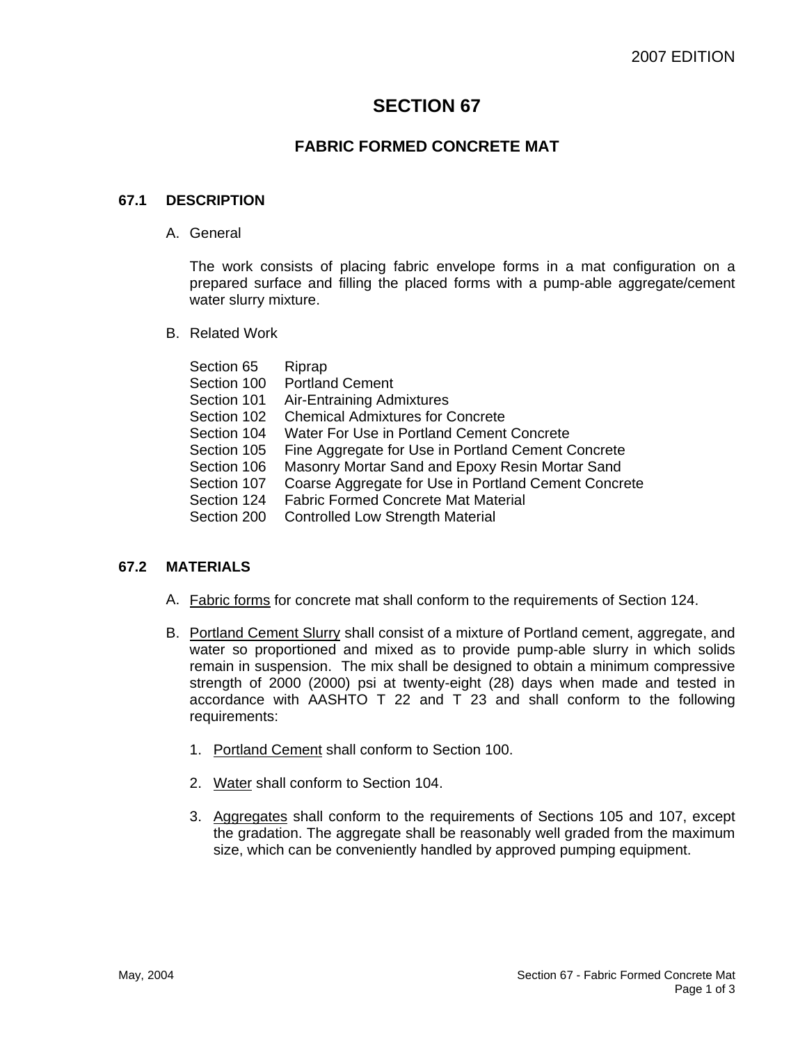# **SECTION 67**

# **FABRIC FORMED CONCRETE MAT**

## **67.1 DESCRIPTION**

A. General

The work consists of placing fabric envelope forms in a mat configuration on a prepared surface and filling the placed forms with a pump-able aggregate/cement water slurry mixture.

B. Related Work

| Section 65  | Riprap                                               |
|-------------|------------------------------------------------------|
| Section 100 | <b>Portland Cement</b>                               |
| Section 101 | Air-Entraining Admixtures                            |
| Section 102 | <b>Chemical Admixtures for Concrete</b>              |
| Section 104 | Water For Use in Portland Cement Concrete            |
| Section 105 | Fine Aggregate for Use in Portland Cement Concrete   |
| Section 106 | Masonry Mortar Sand and Epoxy Resin Mortar Sand      |
| Section 107 | Coarse Aggregate for Use in Portland Cement Concrete |
| Section 124 | <b>Fabric Formed Concrete Mat Material</b>           |
| Section 200 | <b>Controlled Low Strength Material</b>              |
|             |                                                      |

## **67.2 MATERIALS**

- A. Fabric forms for concrete mat shall conform to the requirements of Section 124.
- B. Portland Cement Slurry shall consist of a mixture of Portland cement, aggregate, and water so proportioned and mixed as to provide pump-able slurry in which solids remain in suspension. The mix shall be designed to obtain a minimum compressive strength of 2000 (2000) psi at twenty-eight (28) days when made and tested in accordance with AASHTO T 22 and T 23 and shall conform to the following requirements:
	- 1. Portland Cement shall conform to Section 100.
	- 2. Water shall conform to Section 104.
	- 3. Aggregates shall conform to the requirements of Sections 105 and 107, except the gradation. The aggregate shall be reasonably well graded from the maximum size, which can be conveniently handled by approved pumping equipment.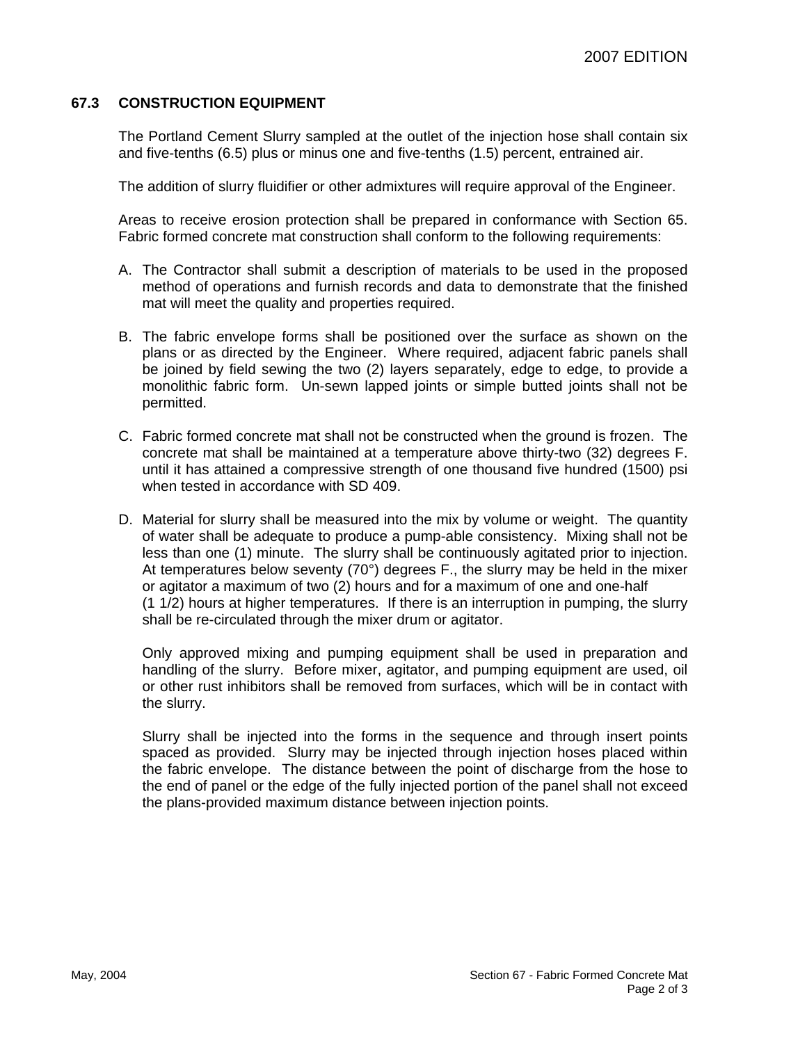## **67.3 CONSTRUCTION EQUIPMENT**

The Portland Cement Slurry sampled at the outlet of the injection hose shall contain six and five-tenths (6.5) plus or minus one and five-tenths (1.5) percent, entrained air.

The addition of slurry fluidifier or other admixtures will require approval of the Engineer.

Areas to receive erosion protection shall be prepared in conformance with Section 65. Fabric formed concrete mat construction shall conform to the following requirements:

- A. The Contractor shall submit a description of materials to be used in the proposed method of operations and furnish records and data to demonstrate that the finished mat will meet the quality and properties required.
- B. The fabric envelope forms shall be positioned over the surface as shown on the plans or as directed by the Engineer. Where required, adjacent fabric panels shall be joined by field sewing the two (2) layers separately, edge to edge, to provide a monolithic fabric form. Un-sewn lapped joints or simple butted joints shall not be permitted.
- C. Fabric formed concrete mat shall not be constructed when the ground is frozen. The concrete mat shall be maintained at a temperature above thirty-two (32) degrees F. until it has attained a compressive strength of one thousand five hundred (1500) psi when tested in accordance with SD 409.
- D. Material for slurry shall be measured into the mix by volume or weight. The quantity of water shall be adequate to produce a pump-able consistency. Mixing shall not be less than one (1) minute. The slurry shall be continuously agitated prior to injection. At temperatures below seventy (70°) degrees F., the slurry may be held in the mixer or agitator a maximum of two (2) hours and for a maximum of one and one-half (1 1/2) hours at higher temperatures. If there is an interruption in pumping, the slurry shall be re-circulated through the mixer drum or agitator.

Only approved mixing and pumping equipment shall be used in preparation and handling of the slurry. Before mixer, agitator, and pumping equipment are used, oil or other rust inhibitors shall be removed from surfaces, which will be in contact with the slurry.

Slurry shall be injected into the forms in the sequence and through insert points spaced as provided. Slurry may be injected through injection hoses placed within the fabric envelope. The distance between the point of discharge from the hose to the end of panel or the edge of the fully injected portion of the panel shall not exceed the plans-provided maximum distance between injection points.